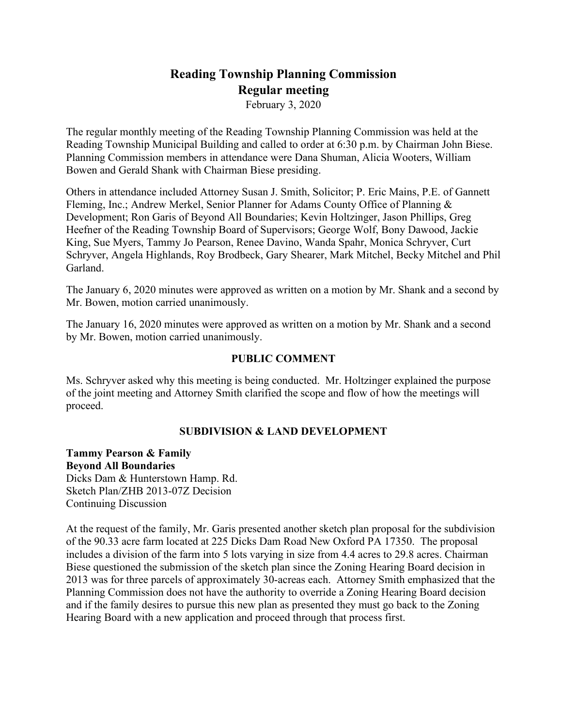# **Reading Township Planning Commission Regular meeting**

February 3, 2020

The regular monthly meeting of the Reading Township Planning Commission was held at the Reading Township Municipal Building and called to order at 6:30 p.m. by Chairman John Biese. Planning Commission members in attendance were Dana Shuman, Alicia Wooters, William Bowen and Gerald Shank with Chairman Biese presiding.

Others in attendance included Attorney Susan J. Smith, Solicitor; P. Eric Mains, P.E. of Gannett Fleming, Inc.; Andrew Merkel, Senior Planner for Adams County Office of Planning & Development; Ron Garis of Beyond All Boundaries; Kevin Holtzinger, Jason Phillips, Greg Heefner of the Reading Township Board of Supervisors; George Wolf, Bony Dawood, Jackie King, Sue Myers, Tammy Jo Pearson, Renee Davino, Wanda Spahr, Monica Schryver, Curt Schryver, Angela Highlands, Roy Brodbeck, Gary Shearer, Mark Mitchel, Becky Mitchel and Phil Garland.

The January 6, 2020 minutes were approved as written on a motion by Mr. Shank and a second by Mr. Bowen, motion carried unanimously.

The January 16, 2020 minutes were approved as written on a motion by Mr. Shank and a second by Mr. Bowen, motion carried unanimously.

### **PUBLIC COMMENT**

Ms. Schryver asked why this meeting is being conducted. Mr. Holtzinger explained the purpose of the joint meeting and Attorney Smith clarified the scope and flow of how the meetings will proceed.

# **SUBDIVISION & LAND DEVELOPMENT**

**Tammy Pearson & Family Beyond All Boundaries** Dicks Dam & Hunterstown Hamp. Rd. Sketch Plan/ZHB 2013-07Z Decision Continuing Discussion

At the request of the family, Mr. Garis presented another sketch plan proposal for the subdivision of the 90.33 acre farm located at 225 Dicks Dam Road New Oxford PA 17350. The proposal includes a division of the farm into 5 lots varying in size from 4.4 acres to 29.8 acres. Chairman Biese questioned the submission of the sketch plan since the Zoning Hearing Board decision in 2013 was for three parcels of approximately 30-acreas each. Attorney Smith emphasized that the Planning Commission does not have the authority to override a Zoning Hearing Board decision and if the family desires to pursue this new plan as presented they must go back to the Zoning Hearing Board with a new application and proceed through that process first.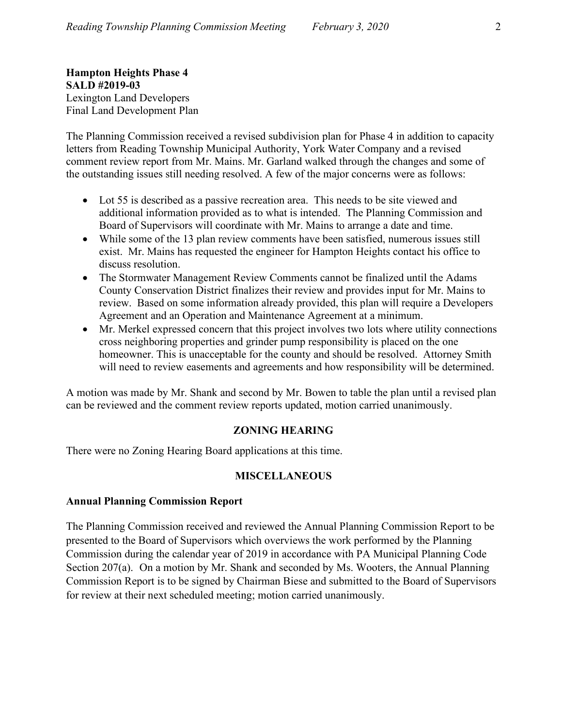**Hampton Heights Phase 4 SALD #2019-03** Lexington Land Developers Final Land Development Plan

The Planning Commission received a revised subdivision plan for Phase 4 in addition to capacity letters from Reading Township Municipal Authority, York Water Company and a revised comment review report from Mr. Mains. Mr. Garland walked through the changes and some of the outstanding issues still needing resolved. A few of the major concerns were as follows:

- Lot 55 is described as a passive recreation area. This needs to be site viewed and additional information provided as to what is intended. The Planning Commission and Board of Supervisors will coordinate with Mr. Mains to arrange a date and time.
- While some of the 13 plan review comments have been satisfied, numerous issues still exist. Mr. Mains has requested the engineer for Hampton Heights contact his office to discuss resolution.
- The Stormwater Management Review Comments cannot be finalized until the Adams County Conservation District finalizes their review and provides input for Mr. Mains to review. Based on some information already provided, this plan will require a Developers Agreement and an Operation and Maintenance Agreement at a minimum.
- Mr. Merkel expressed concern that this project involves two lots where utility connections cross neighboring properties and grinder pump responsibility is placed on the one homeowner. This is unacceptable for the county and should be resolved. Attorney Smith will need to review easements and agreements and how responsibility will be determined.

A motion was made by Mr. Shank and second by Mr. Bowen to table the plan until a revised plan can be reviewed and the comment review reports updated, motion carried unanimously.

# **ZONING HEARING**

There were no Zoning Hearing Board applications at this time.

# **MISCELLANEOUS**

# **Annual Planning Commission Report**

The Planning Commission received and reviewed the Annual Planning Commission Report to be presented to the Board of Supervisors which overviews the work performed by the Planning Commission during the calendar year of 2019 in accordance with PA Municipal Planning Code Section 207(a). On a motion by Mr. Shank and seconded by Ms. Wooters, the Annual Planning Commission Report is to be signed by Chairman Biese and submitted to the Board of Supervisors for review at their next scheduled meeting; motion carried unanimously.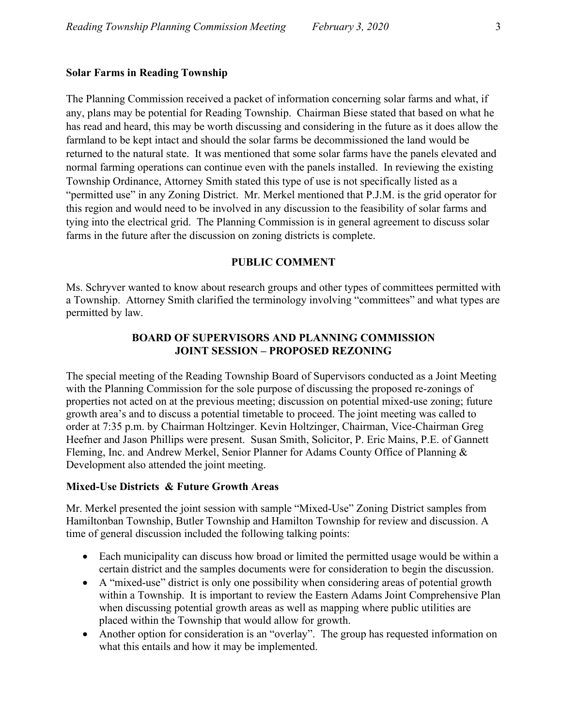#### **Solar Farms in Reading Township**

The Planning Commission received a packet of information concerning solar farms and what, if any, plans may be potential for Reading Township. Chairman Biese stated that based on what he has read and heard, this may be worth discussing and considering in the future as it does allow the farmland to be kept intact and should the solar farms be decommissioned the land would be returned to the natural state. It was mentioned that some solar farms have the panels elevated and normal farming operations can continue even with the panels installed. In reviewing the existing Township Ordinance, Attorney Smith stated this type of use is not specifically listed as a "permitted use" in any Zoning District. Mr. Merkel mentioned that P.J.M. is the grid operator for this region and would need to be involved in any discussion to the feasibility of solar farms and tying into the electrical grid. The Planning Commission is in general agreement to discuss solar farms in the future after the discussion on zoning districts is complete.

#### **PUBLIC COMMENT**

Ms. Schryver wanted to know about research groups and other types of committees permitted with a Township. Attorney Smith clarified the terminology involving "committees" and what types are permitted by law.

### **BOARD OF SUPERVISORS AND PLANNING COMMISSION JOINT SESSION – PROPOSED REZONING**

The special meeting of the Reading Township Board of Supervisors conducted as a Joint Meeting with the Planning Commission for the sole purpose of discussing the proposed re-zonings of properties not acted on at the previous meeting; discussion on potential mixed-use zoning; future growth area's and to discuss a potential timetable to proceed. The joint meeting was called to order at 7:35 p.m. by Chairman Holtzinger. Kevin Holtzinger, Chairman, Vice-Chairman Greg Heefner and Jason Phillips were present. Susan Smith, Solicitor, P. Eric Mains, P.E. of Gannett Fleming, Inc. and Andrew Merkel, Senior Planner for Adams County Office of Planning & Development also attended the joint meeting.

#### **Mixed-Use Districts & Future Growth Areas**

Mr. Merkel presented the joint session with sample "Mixed-Use" Zoning District samples from Hamiltonban Township, Butler Township and Hamilton Township for review and discussion. A time of general discussion included the following talking points:

- Each municipality can discuss how broad or limited the permitted usage would be within a certain district and the samples documents were for consideration to begin the discussion.
- A "mixed-use" district is only one possibility when considering areas of potential growth within a Township. It is important to review the Eastern Adams Joint Comprehensive Plan when discussing potential growth areas as well as mapping where public utilities are placed within the Township that would allow for growth.
- Another option for consideration is an "overlay". The group has requested information on what this entails and how it may be implemented.